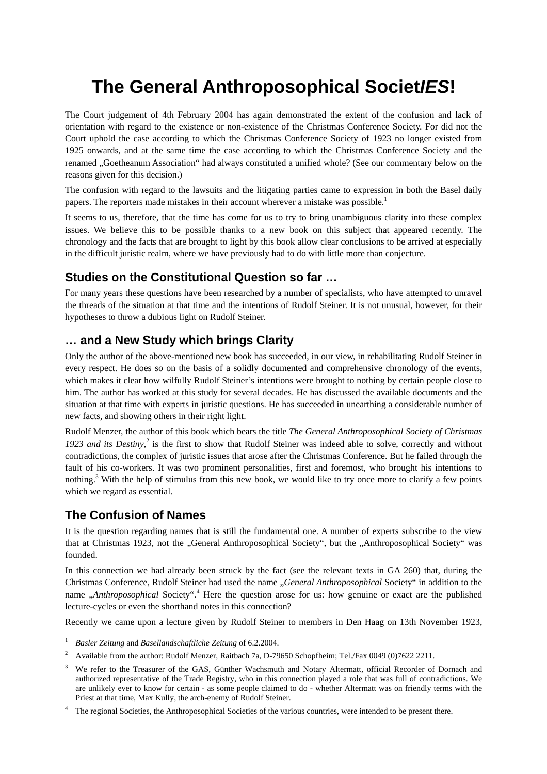# **The General Anthroposophical Societ***IES***!**

The Court judgement of 4th February 2004 has again demonstrated the extent of the confusion and lack of orientation with regard to the existence or non-existence of the Christmas Conference Society. For did not the Court uphold the case according to which the Christmas Conference Society of 1923 no longer existed from 1925 onwards, and at the same time the case according to which the Christmas Conference Society and the renamed . Goetheanum Association" had always constituted a unified whole? (See our commentary below on the reasons given for this decision.)

The confusion with regard to the lawsuits and the litigating parties came to expression in both the Basel daily papers. The reporters made mistakes in their account wherever a mistake was possible.<sup>1</sup>

It seems to us, therefore, that the time has come for us to try to bring unambiguous clarity into these complex issues. We believe this to be possible thanks to a new book on this subject that appeared recently. The chronology and the facts that are brought to light by this book allow clear conclusions to be arrived at especially in the difficult juristic realm, where we have previously had to do with little more than conjecture.

## **Studies on the Constitutional Question so far …**

For many years these questions have been researched by a number of specialists, who have attempted to unravel the threads of the situation at that time and the intentions of Rudolf Steiner. It is not unusual, however, for their hypotheses to throw a dubious light on Rudolf Steiner.

#### **… and a New Study which brings Clarity**

Only the author of the above-mentioned new book has succeeded, in our view, in rehabilitating Rudolf Steiner in every respect. He does so on the basis of a solidly documented and comprehensive chronology of the events, which makes it clear how wilfully Rudolf Steiner's intentions were brought to nothing by certain people close to him. The author has worked at this study for several decades. He has discussed the available documents and the situation at that time with experts in juristic questions. He has succeeded in unearthing a considerable number of new facts, and showing others in their right light.

Rudolf Menzer, the author of this book which bears the title *The General Anthroposophical Society of Christmas*  1923 and its Destiny,<sup>2</sup> is the first to show that Rudolf Steiner was indeed able to solve, correctly and without contradictions, the complex of juristic issues that arose after the Christmas Conference. But he failed through the fault of his co-workers. It was two prominent personalities, first and foremost, who brought his intentions to nothing.<sup>3</sup> With the help of stimulus from this new book, we would like to try once more to clarify a few points which we regard as essential.

## **The Confusion of Names**

It is the question regarding names that is still the fundamental one. A number of experts subscribe to the view that at Christmas 1923, not the "General Anthroposophical Society", but the "Anthroposophical Society" was founded.

In this connection we had already been struck by the fact (see the relevant texts in GA 260) that, during the Christmas Conference, Rudolf Steiner had used the name "*General Anthroposophical* Society" in addition to the name *"Anthroposophical* Society".<sup>4</sup> Here the question arose for us: how genuine or exact are the published lecture-cycles or even the shorthand notes in this connection?

Recently we came upon a lecture given by Rudolf Steiner to members in Den Haag on 13th November 1923,

 $\overline{a}$ 1 *Basler Zeitung* and *Basellandschaftliche Zeitung* of 6.2.2004.

<sup>2</sup> Available from the author: Rudolf Menzer, Raitbach 7a, D-79650 Schopfheim; Tel./Fax 0049 (0)7622 2211.

<sup>3</sup> We refer to the Treasurer of the GAS, Günther Wachsmuth and Notary Altermatt, official Recorder of Dornach and authorized representative of the Trade Registry, who in this connection played a role that was full of contradictions. We are unlikely ever to know for certain - as some people claimed to do - whether Altermatt was on friendly terms with the Priest at that time, Max Kully, the arch-enemy of Rudolf Steiner.

<sup>4</sup> The regional Societies, the Anthroposophical Societies of the various countries, were intended to be present there.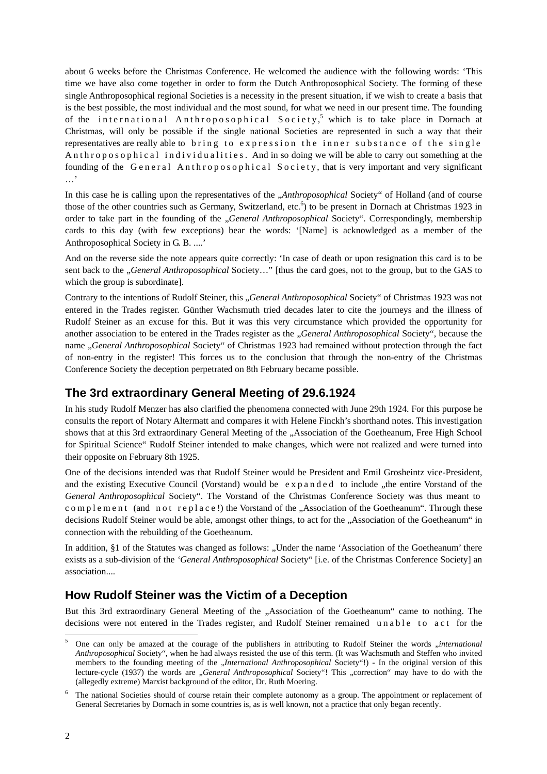about 6 weeks before the Christmas Conference. He welcomed the audience with the following words: 'This time we have also come together in order to form the Dutch Anthroposophical Society. The forming of these single Anthroposophical regional Societies is a necessity in the present situation, if we wish to create a basis that is the best possible, the most individual and the most sound, for what we need in our present time. The founding of the international Anthroposophical Society,<sup>5</sup> which is to take place in Dornach at Christmas, will only be possible if the single national Societies are represented in such a way that their representatives are really able to bring to expression the inner substance of the single An throposophical individualities. And in so doing we will be able to carry out something at the founding of the General Anthroposophical Society, that is very important and very significant …'

In this case he is calling upon the representatives of the *"Anthroposophical* Society" of Holland (and of course those of the other countries such as Germany, Switzerland, etc.<sup>6</sup>) to be present in Dornach at Christmas 1923 in order to take part in the founding of the "*General Anthroposophical* Society". Correspondingly, membership cards to this day (with few exceptions) bear the words: '[Name] is acknowledged as a member of the Anthroposophical Society in G. B. ....'

And on the reverse side the note appears quite correctly: 'In case of death or upon resignation this card is to be sent back to the "*General Anthroposophical* Society…" [thus the card goes, not to the group, but to the GAS to which the group is subordinate].

Contrary to the intentions of Rudolf Steiner, this "*General Anthroposophical* Society" of Christmas 1923 was not entered in the Trades register. Günther Wachsmuth tried decades later to cite the journeys and the illness of Rudolf Steiner as an excuse for this. But it was this very circumstance which provided the opportunity for another association to be entered in the Trades register as the *"General Anthroposophical* Society", because the name "*General Anthroposophical* Society" of Christmas 1923 had remained without protection through the fact of non-entry in the register! This forces us to the conclusion that through the non-entry of the Christmas Conference Society the deception perpetrated on 8th February became possible.

## **The 3rd extraordinary General Meeting of 29.6.1924**

In his study Rudolf Menzer has also clarified the phenomena connected with June 29th 1924. For this purpose he consults the report of Notary Altermatt and compares it with Helene Finckh's shorthand notes. This investigation shows that at this 3rd extraordinary General Meeting of the "Association of the Goetheanum, Free High School for Spiritual Science" Rudolf Steiner intended to make changes, which were not realized and were turned into their opposite on February 8th 1925.

One of the decisions intended was that Rudolf Steiner would be President and Emil Grosheintz vice-President, and the existing Executive Council (Vorstand) would be expanded to include "the entire Vorstand of the *General Anthroposophical* Society". The Vorstand of the Christmas Conference Society was thus meant to c o m p l e m e n t (and n o t r e p l a c e!) the Vorstand of the "Association of the Goetheanum". Through these decisions Rudolf Steiner would be able, amongst other things, to act for the "Association of the Goetheanum" in connection with the rebuilding of the Goetheanum.

In addition, §1 of the Statutes was changed as follows: "Under the name 'Association of the Goetheanum' there exists as a sub-division of the *'General Anthroposophical* Society" [i.e. of the Christmas Conference Society] an association....

#### **How Rudolf Steiner was the Victim of a Deception**

But this 3rd extraordinary General Meeting of the ...Association of the Goetheanum" came to nothing. The decisions were not entered in the Trades register, and Rudolf Steiner remained unable to act for the

-

<sup>5</sup> One can only be amazed at the courage of the publishers in attributing to Rudolf Steiner the words *"international Anthroposophical* Society", when he had always resisted the use of this term. (It was Wachsmuth and Steffen who invited members to the founding meeting of the "*International Anthroposophical* Society"!) - In the original version of this lecture-cycle (1937) the words are *"General Anthroposophical Society"! This "correction"* may have to do with the (allegedly extreme) Marxist background of the editor, Dr. Ruth Moering.

<sup>6</sup> The national Societies should of course retain their complete autonomy as a group. The appointment or replacement of General Secretaries by Dornach in some countries is, as is well known, not a practice that only began recently.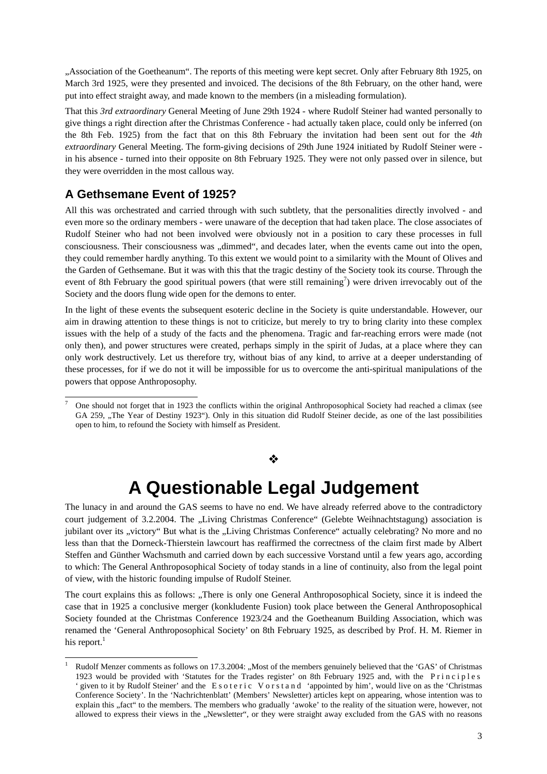"Association of the Goetheanum". The reports of this meeting were kept secret. Only after February 8th 1925, on March 3rd 1925, were they presented and invoiced. The decisions of the 8th February, on the other hand, were put into effect straight away, and made known to the members (in a misleading formulation).

That this *3rd extraordinary* General Meeting of June 29th 1924 - where Rudolf Steiner had wanted personally to give things a right direction after the Christmas Conference - had actually taken place, could only be inferred (on the 8th Feb. 1925) from the fact that on this 8th February the invitation had been sent out for the *4th extraordinary* General Meeting. The form-giving decisions of 29th June 1924 initiated by Rudolf Steiner were in his absence - turned into their opposite on 8th February 1925. They were not only passed over in silence, but they were overridden in the most callous way.

#### **A Gethsemane Event of 1925?**

1

-

All this was orchestrated and carried through with such subtlety, that the personalities directly involved - and even more so the ordinary members - were unaware of the deception that had taken place. The close associates of Rudolf Steiner who had not been involved were obviously not in a position to cary these processes in full consciousness. Their consciousness was "dimmed", and decades later, when the events came out into the open, they could remember hardly anything. To this extent we would point to a similarity with the Mount of Olives and the Garden of Gethsemane. But it was with this that the tragic destiny of the Society took its course. Through the event of 8th February the good spiritual powers (that were still remaining<sup>7</sup>) were driven irrevocably out of the Society and the doors flung wide open for the demons to enter.

In the light of these events the subsequent esoteric decline in the Society is quite understandable. However, our aim in drawing attention to these things is not to criticize, but merely to try to bring clarity into these complex issues with the help of a study of the facts and the phenomena. Tragic and far-reaching errors were made (not only then), and power structures were created, perhaps simply in the spirit of Judas, at a place where they can only work destructively. Let us therefore try, without bias of any kind, to arrive at a deeper understanding of these processes, for if we do not it will be impossible for us to overcome the anti-spiritual manipulations of the powers that oppose Anthroposophy.

#### ❖

## **A Questionable Legal Judgement**

The lunacy in and around the GAS seems to have no end. We have already referred above to the contradictory court judgement of 3.2.2004. The "Living Christmas Conference" (Gelebte Weihnachtstagung) association is jubilant over its "victory" But what is the "Living Christmas Conference" actually celebrating? No more and no less than that the Dorneck-Thierstein lawcourt has reaffirmed the correctness of the claim first made by Albert Steffen and Günther Wachsmuth and carried down by each successive Vorstand until a few years ago, according to which: The General Anthroposophical Society of today stands in a line of continuity, also from the legal point of view, with the historic founding impulse of Rudolf Steiner.

The court explains this as follows: "There is only one General Anthroposophical Society, since it is indeed the case that in 1925 a conclusive merger (konkludente Fusion) took place between the General Anthroposophical Society founded at the Christmas Conference 1923/24 and the Goetheanum Building Association, which was renamed the 'General Anthroposophical Society' on 8th February 1925, as described by Prof. H. M. Riemer in his report. $<sup>1</sup>$ </sup>

<sup>7</sup> One should not forget that in 1923 the conflicts within the original Anthroposophical Society had reached a climax (see GA 259, "The Year of Destiny 1923"). Only in this situation did Rudolf Steiner decide, as one of the last possibilities open to him, to refound the Society with himself as President.

<sup>1</sup> Rudolf Menzer comments as follows on 17.3.2004: "Most of the members genuinely believed that the 'GAS' of Christmas 1923 would be provided with 'Statutes for the Trades register' on 8th February 1925 and, with the Principles ' given to it by Rudolf Steiner' and the Esoteric Vorstand 'appointed by him', would live on as the 'Christmas Conference Society'. In the 'Nachrichtenblatt' (Members' Newsletter) articles kept on appearing, whose intention was to explain this "fact" to the members. The members who gradually 'awoke' to the reality of the situation were, however, not allowed to express their views in the "Newsletter", or they were straight away excluded from the GAS with no reasons